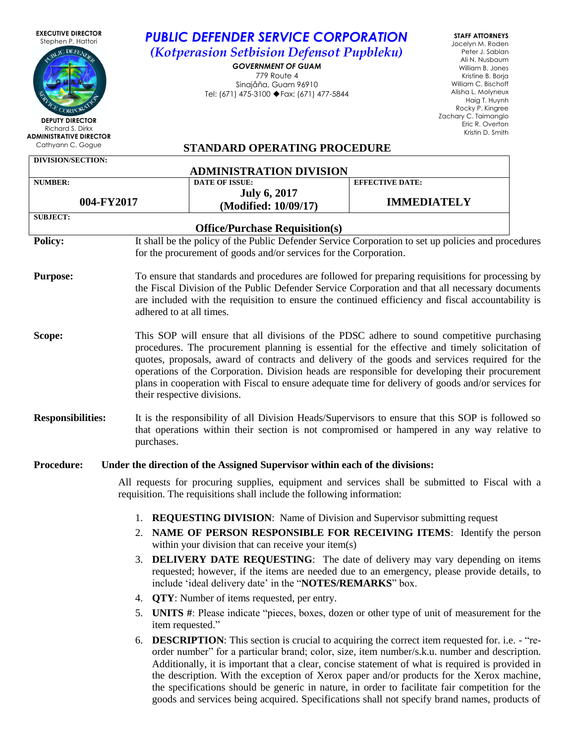| <b>EXECUTIVE DIRECTOR</b><br>Stephen P. Hattori<br>UBLIC DEFENDE<br><b>DEPUTY DIRECTOR</b><br>Richard S. Dirkx<br><b>ADMINISTRATIVE DIRECTOR</b><br>Cathyann C. Gogue                                                                                                                                                                                                                                             |                                                                                                                                                                                                                                                                                                                                                                                                                                                                                                                                      | <b>PUBLIC DEFENDER SERVICE CORPORATION</b><br>(Kotperasion Setbision Defensot Pupbleku)<br><b>GOVERNMENT OF GUAM</b><br>779 Route 4<br>Sinajåña, Guam 96910<br>Tel: (671) 475-3100 ♦ Fax: (671) 477-5844<br><b>STANDARD OPERATING PROCEDURE</b>                                                                                                                                                                                                                                                                                                                                                           |                        | <b>STAFF ATTORNEYS</b><br>Jocelyn M. Roden<br>Peter J. Sablan<br>Ali N. Nusbaum<br>William B. Jones<br>Kristine B. Borja<br>William C. Bischoff<br>Alisha L. Molyneux<br>Haig T. Huynh<br>Rocky P. Kingree<br>Zachary C. Taimanglo<br>Eric R. Overton<br>Kristin D. Smith |
|-------------------------------------------------------------------------------------------------------------------------------------------------------------------------------------------------------------------------------------------------------------------------------------------------------------------------------------------------------------------------------------------------------------------|--------------------------------------------------------------------------------------------------------------------------------------------------------------------------------------------------------------------------------------------------------------------------------------------------------------------------------------------------------------------------------------------------------------------------------------------------------------------------------------------------------------------------------------|-----------------------------------------------------------------------------------------------------------------------------------------------------------------------------------------------------------------------------------------------------------------------------------------------------------------------------------------------------------------------------------------------------------------------------------------------------------------------------------------------------------------------------------------------------------------------------------------------------------|------------------------|---------------------------------------------------------------------------------------------------------------------------------------------------------------------------------------------------------------------------------------------------------------------------|
| DIVISION/SECTION:                                                                                                                                                                                                                                                                                                                                                                                                 |                                                                                                                                                                                                                                                                                                                                                                                                                                                                                                                                      |                                                                                                                                                                                                                                                                                                                                                                                                                                                                                                                                                                                                           |                        |                                                                                                                                                                                                                                                                           |
| <b>NUMBER:</b>                                                                                                                                                                                                                                                                                                                                                                                                    |                                                                                                                                                                                                                                                                                                                                                                                                                                                                                                                                      | <b>ADMINISTRATION DIVISION</b><br><b>DATE OF ISSUE:</b>                                                                                                                                                                                                                                                                                                                                                                                                                                                                                                                                                   | <b>EFFECTIVE DATE:</b> |                                                                                                                                                                                                                                                                           |
| 004-FY2017                                                                                                                                                                                                                                                                                                                                                                                                        |                                                                                                                                                                                                                                                                                                                                                                                                                                                                                                                                      | <b>July 6, 2017</b>                                                                                                                                                                                                                                                                                                                                                                                                                                                                                                                                                                                       | <b>IMMEDIATELY</b>     |                                                                                                                                                                                                                                                                           |
| <b>SUBJECT:</b>                                                                                                                                                                                                                                                                                                                                                                                                   |                                                                                                                                                                                                                                                                                                                                                                                                                                                                                                                                      | (Modified: 10/09/17)                                                                                                                                                                                                                                                                                                                                                                                                                                                                                                                                                                                      |                        |                                                                                                                                                                                                                                                                           |
| <b>Office/Purchase Requisition(s)</b>                                                                                                                                                                                                                                                                                                                                                                             |                                                                                                                                                                                                                                                                                                                                                                                                                                                                                                                                      |                                                                                                                                                                                                                                                                                                                                                                                                                                                                                                                                                                                                           |                        |                                                                                                                                                                                                                                                                           |
| <b>Policy:</b>                                                                                                                                                                                                                                                                                                                                                                                                    | It shall be the policy of the Public Defender Service Corporation to set up policies and procedures<br>for the procurement of goods and/or services for the Corporation.                                                                                                                                                                                                                                                                                                                                                             |                                                                                                                                                                                                                                                                                                                                                                                                                                                                                                                                                                                                           |                        |                                                                                                                                                                                                                                                                           |
| <b>Purpose:</b>                                                                                                                                                                                                                                                                                                                                                                                                   | To ensure that standards and procedures are followed for preparing requisitions for processing by<br>the Fiscal Division of the Public Defender Service Corporation and that all necessary documents<br>are included with the requisition to ensure the continued efficiency and fiscal accountability is<br>adhered to at all times.                                                                                                                                                                                                |                                                                                                                                                                                                                                                                                                                                                                                                                                                                                                                                                                                                           |                        |                                                                                                                                                                                                                                                                           |
| Scope:                                                                                                                                                                                                                                                                                                                                                                                                            | This SOP will ensure that all divisions of the PDSC adhere to sound competitive purchasing<br>procedures. The procurement planning is essential for the effective and timely solicitation of<br>quotes, proposals, award of contracts and delivery of the goods and services required for the<br>operations of the Corporation. Division heads are responsible for developing their procurement<br>plans in cooperation with Fiscal to ensure adequate time for delivery of goods and/or services for<br>their respective divisions. |                                                                                                                                                                                                                                                                                                                                                                                                                                                                                                                                                                                                           |                        |                                                                                                                                                                                                                                                                           |
| <b>Responsibilities:</b>                                                                                                                                                                                                                                                                                                                                                                                          | It is the responsibility of all Division Heads/Supervisors to ensure that this SOP is followed so<br>that operations within their section is not compromised or hampered in any way relative to<br>purchases.                                                                                                                                                                                                                                                                                                                        |                                                                                                                                                                                                                                                                                                                                                                                                                                                                                                                                                                                                           |                        |                                                                                                                                                                                                                                                                           |
| <b>Procedure:</b>                                                                                                                                                                                                                                                                                                                                                                                                 |                                                                                                                                                                                                                                                                                                                                                                                                                                                                                                                                      | Under the direction of the Assigned Supervisor within each of the divisions:                                                                                                                                                                                                                                                                                                                                                                                                                                                                                                                              |                        |                                                                                                                                                                                                                                                                           |
|                                                                                                                                                                                                                                                                                                                                                                                                                   |                                                                                                                                                                                                                                                                                                                                                                                                                                                                                                                                      | All requests for procuring supplies, equipment and services shall be submitted to Fiscal with a<br>requisition. The requisitions shall include the following information:                                                                                                                                                                                                                                                                                                                                                                                                                                 |                        |                                                                                                                                                                                                                                                                           |
| <b>REQUESTING DIVISION:</b> Name of Division and Supervisor submitting request<br>1.<br>NAME OF PERSON RESPONSIBLE FOR RECEIVING ITEMS: Identify the person<br>2.<br>within your division that can receive your item(s)<br><b>DELIVERY DATE REQUESTING:</b> The date of delivery may vary depending on items<br>3.<br>requested; however, if the items are needed due to an emergency, please provide details, to |                                                                                                                                                                                                                                                                                                                                                                                                                                                                                                                                      |                                                                                                                                                                                                                                                                                                                                                                                                                                                                                                                                                                                                           |                        |                                                                                                                                                                                                                                                                           |
|                                                                                                                                                                                                                                                                                                                                                                                                                   |                                                                                                                                                                                                                                                                                                                                                                                                                                                                                                                                      | include 'ideal delivery date' in the "NOTES/REMARKS" box.                                                                                                                                                                                                                                                                                                                                                                                                                                                                                                                                                 |                        |                                                                                                                                                                                                                                                                           |
|                                                                                                                                                                                                                                                                                                                                                                                                                   | 4.<br>5.                                                                                                                                                                                                                                                                                                                                                                                                                                                                                                                             | <b>QTY</b> : Number of items requested, per entry.<br><b>UNITS</b> #: Please indicate "pieces, boxes, dozen or other type of unit of measurement for the                                                                                                                                                                                                                                                                                                                                                                                                                                                  |                        |                                                                                                                                                                                                                                                                           |
|                                                                                                                                                                                                                                                                                                                                                                                                                   | item requested."<br>6.                                                                                                                                                                                                                                                                                                                                                                                                                                                                                                               | <b>DESCRIPTION:</b> This section is crucial to acquiring the correct item requested for. i.e. - "re-<br>order number" for a particular brand; color, size, item number/s.k.u. number and description.<br>Additionally, it is important that a clear, concise statement of what is required is provided in<br>the description. With the exception of Xerox paper and/or products for the Xerox machine,<br>the specifications should be generic in nature, in order to facilitate fair competition for the<br>goods and services being acquired. Specifications shall not specify brand names, products of |                        |                                                                                                                                                                                                                                                                           |